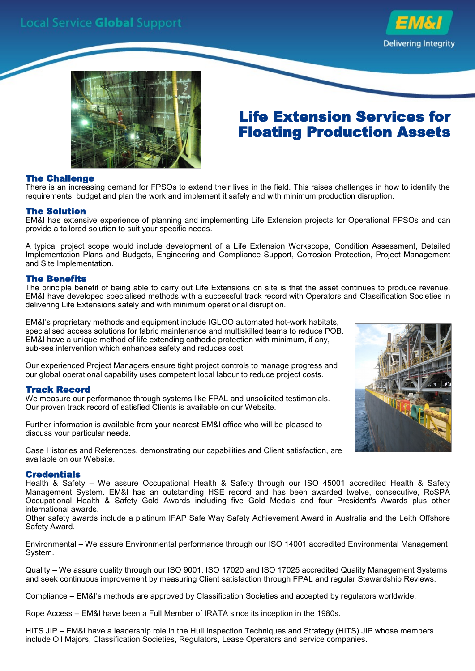



## Life Extension Services for Floating Production Assets

#### The Challenge

There is an increasing demand for FPSOs to extend their lives in the field. This raises challenges in how to identify the requirements, budget and plan the work and implement it safely and with minimum production disruption.

#### The Solution

EM&I has extensive experience of planning and implementing Life Extension projects for Operational FPSOs and can provide a tailored solution to suit your specific needs.

A typical project scope would include development of a Life Extension Workscope, Condition Assessment, Detailed Implementation Plans and Budgets, Engineering and Compliance Support, Corrosion Protection, Project Management and Site Implementation.

#### The Benefits

The principle benefit of being able to carry out Life Extensions on site is that the asset continues to produce revenue. EM&I have developed specialised methods with a successful track record with Operators and Classification Societies in delivering Life Extensions safely and with minimum operational disruption.

EM&I's proprietary methods and equipment include IGLOO automated hot-work habitats, specialised access solutions for fabric maintenance and multiskilled teams to reduce POB. EM&I have a unique method of life extending cathodic protection with minimum, if any, sub-sea intervention which enhances safety and reduces cost.

Our experienced Project Managers ensure tight project controls to manage progress and our global operational capability uses competent local labour to reduce project costs.

#### Track Record

We measure our performance through systems like FPAL and unsolicited testimonials. Our proven track record of satisfied Clients is available on our Website.

Further information is available from your nearest EM&I office who will be pleased to discuss your particular needs.

Case Histories and References, demonstrating our capabilities and Client satisfaction, are available on our Website.

#### **Credentials**

Health & Safety – We assure Occupational Health & Safety through our ISO 45001 accredited Health & Safety Management System. EM&I has an outstanding HSE record and has been awarded twelve, consecutive, RoSPA Occupational Health & Safety Gold Awards including five Gold Medals and four President's Awards plus other international awards.

Other safety awards include a platinum IFAP Safe Way Safety Achievement Award in Australia and the Leith Offshore Safety Award.

Environmental – We assure Environmental performance through our ISO 14001 accredited Environmental Management System.

Quality – We assure quality through our ISO 9001, ISO 17020 and ISO 17025 accredited Quality Management Systems and seek continuous improvement by measuring Client satisfaction through FPAL and regular Stewardship Reviews.

Compliance – EM&I's methods are approved by Classification Societies and accepted by regulators worldwide.

Rope Access – EM&I have been a Full Member of IRATA since its inception in the 1980s.

HITS JIP – EM&I have a leadership role in the Hull Inspection Techniques and Strategy (HITS) JIP whose members include Oil Majors, Classification Societies, Regulators, Lease Operators and service companies.